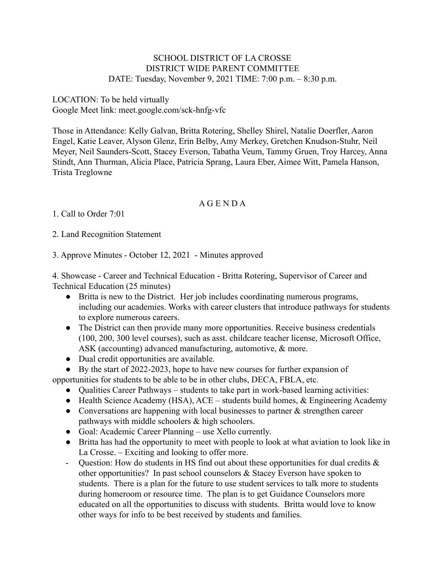## SCHOOL DISTRICT OF LA CROSSE DISTRICT WIDE PARENT COMMITTEE DATE: Tuesday, November 9, 2021 TIME: 7:00 p.m. – 8:30 p.m.

LOCATION: To be held virtually Google Meet link: meet.google.com/sck-hnfg-vfc

Those in Attendance: Kelly Galvan, Britta Rotering, Shelley Shirel, Natalie Doerfler, Aaron Engel, Katie Leaver, Alyson Glenz, Erin Belby, Amy Merkey, Gretchen Knudson-Stuhr, Neil Meyer, Neil Saunders-Scott, Stacey Everson, Tabatha Veum, Tammy Gruen, Troy Harcey, Anna Stindt, Ann Thurman, Alicia Place, Patricia Sprang, Laura Eber, Aimee Witt, Pamela Hanson, Trista Treglowne

## A G E N D A

1. Call to Order 7:01

2. Land Recognition Statement

3. Approve Minutes - October 12, 2021 - Minutes approved

4. Showcase - Career and Technical Education - Britta Rotering, Supervisor of Career and Technical Education (25 minutes)

- Britta is new to the District. Her job includes coordinating numerous programs, including our academies. Works with career clusters that introduce pathways for students to explore numerous careers.
- The District can then provide many more opportunities. Receive business credentials (100, 200, 300 level courses), such as asst. childcare teacher license, Microsoft Office, ASK (accounting) advanced manufacturing, automotive, & more.
- Dual credit opportunities are available.
- By the start of 2022-2023, hope to have new courses for further expansion of opportunities for students to be able to be in other clubs, DECA, FBLA, etc.
	- Oualities Career Pathways students to take part in work-based learning activities:
	- Health Science Academy (HSA),  $ACE students$  build homes,  $&$  Engineering Academy
	- Conversations are happening with local businesses to partner & strengthen career pathways with middle schoolers & high schoolers.
	- Goal: Academic Career Planning use Xello currently.
	- Britta has had the opportunity to meet with people to look at what aviation to look like in La Crosse. – Exciting and looking to offer more.
	- Ouestion: How do students in HS find out about these opportunities for dual credits  $\&$ other opportunities? In past school counselors & Stacey Everson have spoken to students. There is a plan for the future to use student services to talk more to students during homeroom or resource time. The plan is to get Guidance Counselors more educated on all the opportunities to discuss with students. Britta would love to know other ways for info to be best received by students and families.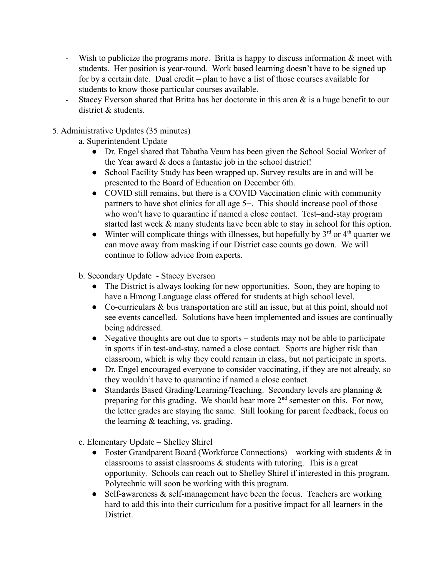- Wish to publicize the programs more. Britta is happy to discuss information  $\&$  meet with students. Her position is year-round. Work based learning doesn't have to be signed up for by a certain date. Dual credit – plan to have a list of those courses available for students to know those particular courses available.
- Stacey Everson shared that Britta has her doctorate in this area  $\&$  is a huge benefit to our district & students.
- 5. Administrative Updates (35 minutes)
	- a. Superintendent Update
		- Dr. Engel shared that Tabatha Veum has been given the School Social Worker of the Year award & does a fantastic job in the school district!
		- School Facility Study has been wrapped up. Survey results are in and will be presented to the Board of Education on December 6th.
		- COVID still remains, but there is a COVID Vaccination clinic with community partners to have shot clinics for all age 5+. This should increase pool of those who won't have to quarantine if named a close contact. Test–and-stay program started last week & many students have been able to stay in school for this option.
		- Winter will complicate things with illnesses, but hopefully by  $3<sup>rd</sup>$  or  $4<sup>th</sup>$  quarter we can move away from masking if our District case counts go down. We will continue to follow advice from experts.
	- b. Secondary Update Stacey Everson
		- The District is always looking for new opportunities. Soon, they are hoping to have a Hmong Language class offered for students at high school level.
		- Co-curriculars & bus transportation are still an issue, but at this point, should not see events cancelled. Solutions have been implemented and issues are continually being addressed.
		- Negative thoughts are out due to sports students may not be able to participate in sports if in test-and-stay, named a close contact. Sports are higher risk than classroom, which is why they could remain in class, but not participate in sports.
		- Dr. Engel encouraged everyone to consider vaccinating, if they are not already, so they wouldn't have to quarantine if named a close contact.
		- Standards Based Grading/Learning/Teaching. Secondary levels are planning  $\&$ preparing for this grading. We should hear more  $2<sup>nd</sup>$  semester on this. For now, the letter grades are staying the same. Still looking for parent feedback, focus on the learning & teaching, vs. grading.
	- c. Elementary Update Shelley Shirel
		- Foster Grandparent Board (Workforce Connections) working with students  $\&$  in classrooms to assist classrooms & students with tutoring. This is a great opportunity. Schools can reach out to Shelley Shirel if interested in this program. Polytechnic will soon be working with this program.
		- Self-awareness  $&$  self-management have been the focus. Teachers are working hard to add this into their curriculum for a positive impact for all learners in the **District**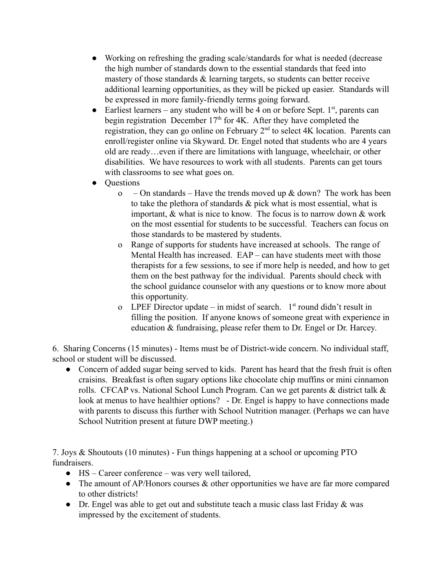- Working on refreshing the grading scale/standards for what is needed (decrease the high number of standards down to the essential standards that feed into mastery of those standards  $\&$  learning targets, so students can better receive additional learning opportunities, as they will be picked up easier. Standards will be expressed in more family-friendly terms going forward.
- Earliest learners any student who will be 4 on or before Sept.  $1<sup>st</sup>$ , parents can begin registration December  $17<sup>th</sup>$  for 4K. After they have completed the registration, they can go online on February 2<sup>nd</sup> to select 4K location. Parents can enroll/register online via Skyward. Dr. Engel noted that students who are 4 years old are ready…even if there are limitations with language, wheelchair, or other disabilities. We have resources to work with all students. Parents can get tours with classrooms to see what goes on.
- **Questions** 
	- o On standards Have the trends moved up  $\&$  down? The work has been to take the plethora of standards & pick what is most essential, what is important, & what is nice to know. The focus is to narrow down & work on the most essential for students to be successful. Teachers can focus on those standards to be mastered by students.
	- o Range of supports for students have increased at schools. The range of Mental Health has increased. EAP – can have students meet with those therapists for a few sessions, to see if more help is needed, and how to get them on the best pathway for the individual. Parents should check with the school guidance counselor with any questions or to know more about this opportunity.
	- o LPEF Director update  $-$  in midst of search.  $1<sup>st</sup>$  round didn't result in filling the position. If anyone knows of someone great with experience in education & fundraising, please refer them to Dr. Engel or Dr. Harcey.

6. Sharing Concerns (15 minutes) - Items must be of District-wide concern. No individual staff, school or student will be discussed.

• Concern of added sugar being served to kids. Parent has heard that the fresh fruit is often craisins. Breakfast is often sugary options like chocolate chip muffins or mini cinnamon rolls. CFCAP vs. National School Lunch Program. Can we get parents & district talk & look at menus to have healthier options? - Dr. Engel is happy to have connections made with parents to discuss this further with School Nutrition manager. (Perhaps we can have School Nutrition present at future DWP meeting.)

7. Joys & Shoutouts (10 minutes) - Fun things happening at a school or upcoming PTO fundraisers.

- HS Career conference was very well tailored,
- The amount of AP/Honors courses & other opportunities we have are far more compared to other districts!
- Dr. Engel was able to get out and substitute teach a music class last Friday & was impressed by the excitement of students.